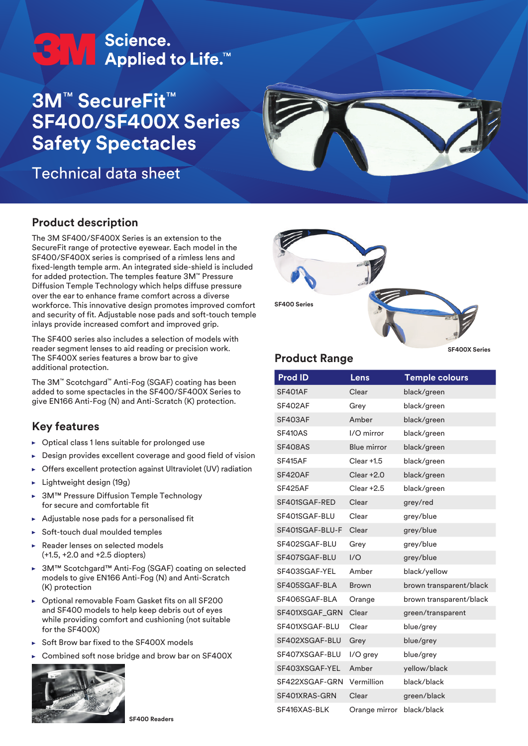# **ETV** Science.<br>■ Applied to Life.™

## **3M**™ **SecureFit**™ **SF400/SF400X Series Safety Spectacles**

Technical data sheet



#### **Product description**

The 3M SF400/SF400X Series is an extension to the SecureFit range of protective eyewear. Each model in the SF400/SF400X series is comprised of a rimless lens and fixed-length temple arm. An integrated side-shield is included for added protection. The temples feature 3M™ Pressure Diffusion Temple Technology which helps diffuse pressure over the ear to enhance frame comfort across a diverse workforce. This innovative design promotes improved comfort and security of fit. Adjustable nose pads and soft-touch temple inlays provide increased comfort and improved grip.

The SF400 series also includes a selection of models with reader segment lenses to aid reading or precision work. The SF400X series features a brow bar to give additional protection.

The 3M™ Scotchgard™ Anti-Fog (SGAF) coating has been added to some spectacles in the SF400/SF400X Series to give EN166 Anti-Fog (N) and Anti-Scratch (K) protection.

#### **Key features**

- $\triangleright$  Optical class 1 lens suitable for prolonged use
- Design provides excellent coverage and good field of vision
- Offers excellent protection against Ultraviolet (UV) radiation j.
- Lightweight design (19g) ь
- 3M™ Pressure Diffusion Temple Technology for secure and comfortable fit
- Adjustable nose pads for a personalised fit k
- Soft-touch dual moulded temples  $\ddot{\phantom{1}}$
- Reader lenses on selected models (+1.5, +2.0 and +2.5 diopters)
- 3M™ Scotchgard™ Anti-Fog (SGAF) coating on selected models to give EN166 Anti-Fog (N) and Anti-Scratch (K) protection
- Optional removable Foam Gasket fits on all SF200 and SF400 models to help keep debris out of eyes while providing comfort and cushioning (not suitable for the SF400X)
- Soft Brow bar fixed to the SF400X models ĥ.
- Combined soft nose bridge and brow bar on SF400X





#### **Product Range**

**SF400X Series**

| <b>Prod ID</b>  | Lens               | <b>Temple colours</b>   |
|-----------------|--------------------|-------------------------|
| <b>SF401AF</b>  | Clear              | black/green             |
| SF402AF         | Grey               | black/green             |
| SF403AF         | Amber              | black/green             |
| <b>SF410AS</b>  | I/O mirror         | black/green             |
| <b>SF408AS</b>  | <b>Blue mirror</b> | black/green             |
| SF415AF         | Clear +1.5         | black/green             |
| SF420AF         | $Clear + 2.0$      | black/green             |
| SF425AF         | $Clear + 2.5$      | black/green             |
| SF401SGAF-RED   | Clear              | grey/red                |
| SF401SGAF-BLU   | Clear              | grey/blue               |
| SF401SGAF-BLU-F | Clear              | grey/blue               |
| SF402SGAF-BLU   | Grey               | grey/blue               |
| SF407SGAF-BLU   | 1/O                | grey/blue               |
| SF403SGAF-YEL   | Amber              | black/yellow            |
| SF405SGAF-BLA   | <b>Brown</b>       | brown transparent/black |
| SF406SGAF-BLA   | Orange             | brown transparent/black |
| SF401XSGAF_GRN  | Clear              | green/transparent       |
| SF401XSGAF-BLU  | Clear              | blue/grey               |
| SF402XSGAF-BLU  | Grey               | blue/grey               |
| SF407XSGAF-BLU  | I/O grey           | blue/grey               |
| SF403XSGAF-YEL  | Amber              | yellow/black            |
| SF422XSGAF-GRN  | Vermillion         | black/black             |
| SF401XRAS-GRN   | Clear              | green/black             |
| SF416XAS-BLK    | Orange mirror      | black/black             |

**SF400 Readers**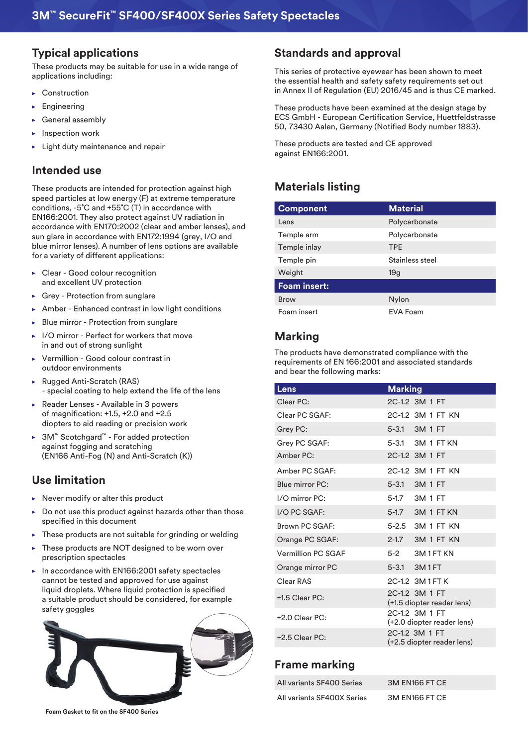#### **Typical applications**

These products may be suitable for use in a wide range of applications including:

- ▶ Construction
- Engineering
- General assembly
- Inspection work
- Light duty maintenance and repair

#### **Intended use**

These products are intended for protection against high speed particles at low energy (F) at extreme temperature conditions, -5˚C and +55˚C (T) in accordance with EN166:2001. They also protect against UV radiation in accordance with EN170:2002 (clear and amber lenses), and sun glare in accordance with EN172:1994 (grey, I/O and blue mirror lenses). A number of lens options are available for a variety of different applications:

- Clear Good colour recognition  $\blacktriangleright$ and excellent UV protection
- Grey Protection from sunglare
- Amber Enhanced contrast in low light conditions
- Blue mirror Protection from sunglare
- I/O mirror Perfect for workers that move in and out of strong sunlight
- Vermillion Good colour contrast in outdoor environments
- ► Rugged Anti-Scratch (RAS) - special coating to help extend the life of the lens
- Reader Lenses Available in 3 powers of magnification: +1.5, +2.0 and +2.5 diopters to aid reading or precision work
- 3M™ Scotchgard™ For added protection against fogging and scratching (EN166 Anti-Fog (N) and Anti-Scratch (K))

#### **Use limitation**

- Never modify or alter this product k.
- Do not use this product against hazards other than those specified in this document
- These products are not suitable for grinding or welding
- These products are NOT designed to be worn over ь prescription spectacles
- $\blacktriangleright$  In accordance with EN166:2001 safety spectacles cannot be tested and approved for use against liquid droplets. Where liquid protection is specified a suitable product should be considered, for example safety goggles



#### **Standards and approval**

This series of protective eyewear has been shown to meet the essential health and safety safety requirements set out in Annex II of Regulation (EU) 2016/45 and is thus CE marked.

These products have been examined at the design stage by ECS GmbH - European Certification Service, Huettfeldstrasse 50, 73430 Aalen, Germany (Notified Body number 1883).

These products are tested and CE approved against EN166:2001.

### **Materials listing**

| <b>Component</b>    | <b>Material</b> |
|---------------------|-----------------|
| Lens                | Polycarbonate   |
| Temple arm          | Polycarbonate   |
| Temple inlay        | <b>TPE</b>      |
| Temple pin          | Stainless steel |
| Weight              | 19 <sub>g</sub> |
| <b>Foam insert:</b> |                 |
| <b>Brow</b>         | Nylon           |
| Foam insert         | EVA Foam        |

#### **Marking**

The products have demonstrated compliance with the requirements of EN 166:2001 and associated standards and bear the following marks:

| Lens               | <b>Marking</b>                               |
|--------------------|----------------------------------------------|
| Clear PC:          | 2C-1.2 3M 1 FT                               |
| Clear PC SGAF:     | 2C-1.2 3M 1 FT KN                            |
| Grey PC:           | 5-3.1 3M 1 FT                                |
| Grey PC SGAF:      | 5-3.1 3M 1 FT KN                             |
| Amber PC:          | 2C-1.2 3M 1 FT                               |
| Amber PC SGAF:     | 2C-1.2 3M 1 FT KN                            |
| Blue mirror PC:    | 5-3.1 3M 1 FT                                |
| I/O mirror PC:     | 5-1.7 3M 1 FT                                |
| I/O PC SGAF:       | 5-1.7 3M 1 FT KN                             |
| Brown PC SGAF:     | 5-2.5 3M 1 FT KN                             |
| Orange PC SGAF:    | 2-1.7 3M 1 FT KN                             |
| Vermillion PC SGAF | 5-2 3M 1 FT KN                               |
| Orange mirror PC   | 5-3.1 3M1FT                                  |
| Clear RAS          | 2C-1.2 3M1FTK                                |
| +1.5 Clear PC:     | 2C-1.2 3M 1 FT<br>(+1.5 diopter reader lens) |
| $+2.0$ Clear PC:   | 2C-1.2 3M 1 FT<br>(+2.0 diopter reader lens) |
| $+2.5$ Clear PC:   | 2C-1.2 3M 1 FT<br>(+2.5 diopter reader lens) |

#### **Frame marking**

| All variants SF400 Series  | 3M EN166 FT CE |
|----------------------------|----------------|
| All variants SF400X Series | 3M EN166 FT CE |

**Foam Gasket to fit on the SF400 Series**